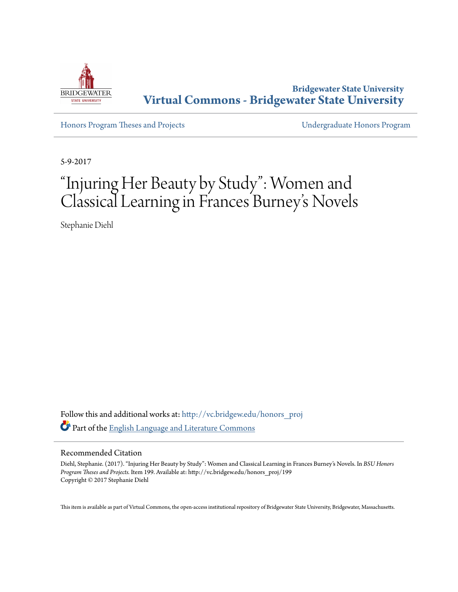

**Bridgewater State University [Virtual Commons - Bridgewater State University](http://vc.bridgew.edu?utm_source=vc.bridgew.edu%2Fhonors_proj%2F199&utm_medium=PDF&utm_campaign=PDFCoverPages)**

[Honors Program Theses and Projects](http://vc.bridgew.edu/honors_proj?utm_source=vc.bridgew.edu%2Fhonors_proj%2F199&utm_medium=PDF&utm_campaign=PDFCoverPages) [Undergraduate Honors Program](http://vc.bridgew.edu/honors?utm_source=vc.bridgew.edu%2Fhonors_proj%2F199&utm_medium=PDF&utm_campaign=PDFCoverPages)

5-9-2017

# "Injuring Her Beauty by Study": Women and Classical Learning in Frances Burney 's Novels

Stephanie Diehl

Follow this and additional works at: [http://vc.bridgew.edu/honors\\_proj](http://vc.bridgew.edu/honors_proj?utm_source=vc.bridgew.edu%2Fhonors_proj%2F199&utm_medium=PDF&utm_campaign=PDFCoverPages) Part of the [English Language and Literature Commons](http://network.bepress.com/hgg/discipline/455?utm_source=vc.bridgew.edu%2Fhonors_proj%2F199&utm_medium=PDF&utm_campaign=PDFCoverPages)

# Recommended Citation

Diehl, Stephanie. (2017). "Injuring Her Beauty by Study": Women and Classical Learning in Frances Burney's Novels. In *BSU Honors Program Theses and Projects.* Item 199. Available at: http://vc.bridgew.edu/honors\_proj/199 Copyright © 2017 Stephanie Diehl

This item is available as part of Virtual Commons, the open-access institutional repository of Bridgewater State University, Bridgewater, Massachusetts.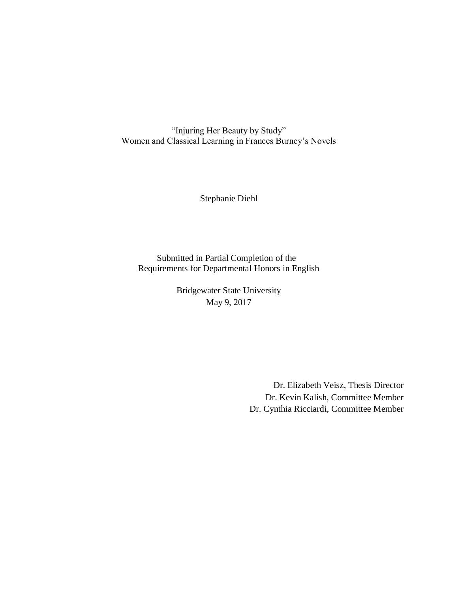"Injuring Her Beauty by Study" Women and Classical Learning in Frances Burney's Novels

Stephanie Diehl

Submitted in Partial Completion of the Requirements for Departmental Honors in English

> Bridgewater State University May 9, 2017

> > Dr. Elizabeth Veisz, Thesis Director Dr. Kevin Kalish, Committee Member Dr. Cynthia Ricciardi, Committee Member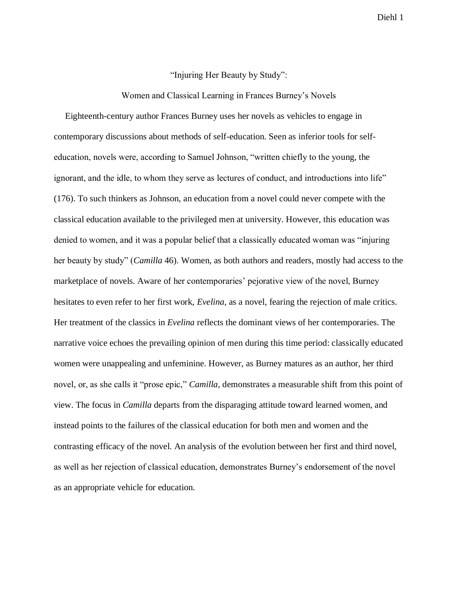## "Injuring Her Beauty by Study":

## Women and Classical Learning in Frances Burney's Novels

 Eighteenth-century author Frances Burney uses her novels as vehicles to engage in contemporary discussions about methods of self-education. Seen as inferior tools for selfeducation, novels were, according to Samuel Johnson, "written chiefly to the young, the ignorant, and the idle, to whom they serve as lectures of conduct, and introductions into life" (176). To such thinkers as Johnson, an education from a novel could never compete with the classical education available to the privileged men at university. However, this education was denied to women, and it was a popular belief that a classically educated woman was "injuring her beauty by study" (*Camilla* 46). Women, as both authors and readers, mostly had access to the marketplace of novels. Aware of her contemporaries' pejorative view of the novel, Burney hesitates to even refer to her first work, *Evelina*, as a novel, fearing the rejection of male critics. Her treatment of the classics in *Evelina* reflects the dominant views of her contemporaries. The narrative voice echoes the prevailing opinion of men during this time period: classically educated women were unappealing and unfeminine. However, as Burney matures as an author, her third novel, or, as she calls it "prose epic," *Camilla*, demonstrates a measurable shift from this point of view. The focus in *Camilla* departs from the disparaging attitude toward learned women, and instead points to the failures of the classical education for both men and women and the contrasting efficacy of the novel. An analysis of the evolution between her first and third novel, as well as her rejection of classical education, demonstrates Burney's endorsement of the novel as an appropriate vehicle for education.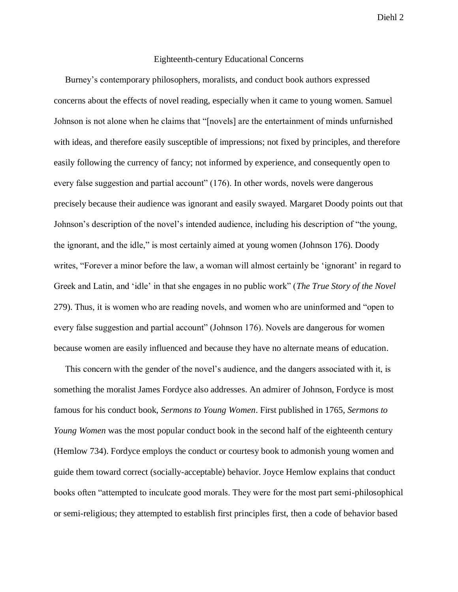# Eighteenth-century Educational Concerns

 Burney's contemporary philosophers, moralists, and conduct book authors expressed concerns about the effects of novel reading, especially when it came to young women. Samuel Johnson is not alone when he claims that "[novels] are the entertainment of minds unfurnished with ideas, and therefore easily susceptible of impressions; not fixed by principles, and therefore easily following the currency of fancy; not informed by experience, and consequently open to every false suggestion and partial account" (176). In other words, novels were dangerous precisely because their audience was ignorant and easily swayed. Margaret Doody points out that Johnson's description of the novel's intended audience, including his description of "the young, the ignorant, and the idle," is most certainly aimed at young women (Johnson 176). Doody writes, "Forever a minor before the law, a woman will almost certainly be 'ignorant' in regard to Greek and Latin, and 'idle' in that she engages in no public work" (*The True Story of the Novel*  279). Thus, it is women who are reading novels, and women who are uninformed and "open to every false suggestion and partial account" (Johnson 176). Novels are dangerous for women because women are easily influenced and because they have no alternate means of education.

This concern with the gender of the novel's audience, and the dangers associated with it, is something the moralist James Fordyce also addresses. An admirer of Johnson, Fordyce is most famous for his conduct book, *Sermons to Young Women*. First published in 1765, *Sermons to Young Women* was the most popular conduct book in the second half of the eighteenth century (Hemlow 734). Fordyce employs the conduct or courtesy book to admonish young women and guide them toward correct (socially-acceptable) behavior. Joyce Hemlow explains that conduct books often "attempted to inculcate good morals. They were for the most part semi-philosophical or semi-religious; they attempted to establish first principles first, then a code of behavior based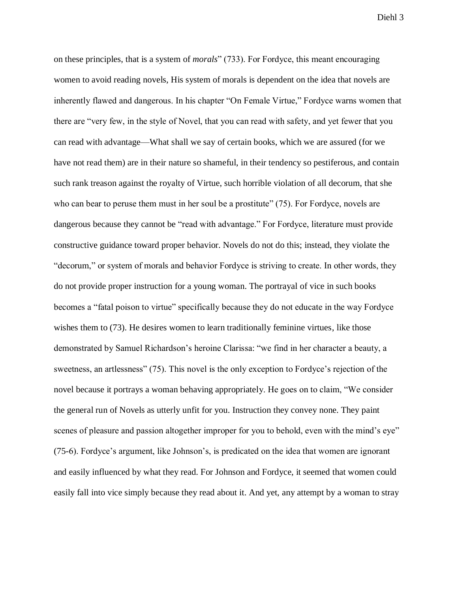on these principles, that is a system of *morals*" (733). For Fordyce, this meant encouraging women to avoid reading novels, His system of morals is dependent on the idea that novels are inherently flawed and dangerous. In his chapter "On Female Virtue," Fordyce warns women that there are "very few, in the style of Novel, that you can read with safety, and yet fewer that you can read with advantage—What shall we say of certain books, which we are assured (for we have not read them) are in their nature so shameful, in their tendency so pestiferous, and contain such rank treason against the royalty of Virtue, such horrible violation of all decorum, that she who can bear to peruse them must in her soul be a prostitute" (75). For Fordyce, novels are dangerous because they cannot be "read with advantage." For Fordyce, literature must provide constructive guidance toward proper behavior. Novels do not do this; instead, they violate the "decorum," or system of morals and behavior Fordyce is striving to create. In other words, they do not provide proper instruction for a young woman. The portrayal of vice in such books becomes a "fatal poison to virtue" specifically because they do not educate in the way Fordyce wishes them to (73). He desires women to learn traditionally feminine virtues, like those demonstrated by Samuel Richardson's heroine Clarissa: "we find in her character a beauty, a sweetness, an artlessness" (75). This novel is the only exception to Fordyce's rejection of the novel because it portrays a woman behaving appropriately. He goes on to claim, "We consider the general run of Novels as utterly unfit for you. Instruction they convey none. They paint scenes of pleasure and passion altogether improper for you to behold, even with the mind's eye" (75-6). Fordyce's argument, like Johnson's, is predicated on the idea that women are ignorant and easily influenced by what they read. For Johnson and Fordyce, it seemed that women could easily fall into vice simply because they read about it. And yet, any attempt by a woman to stray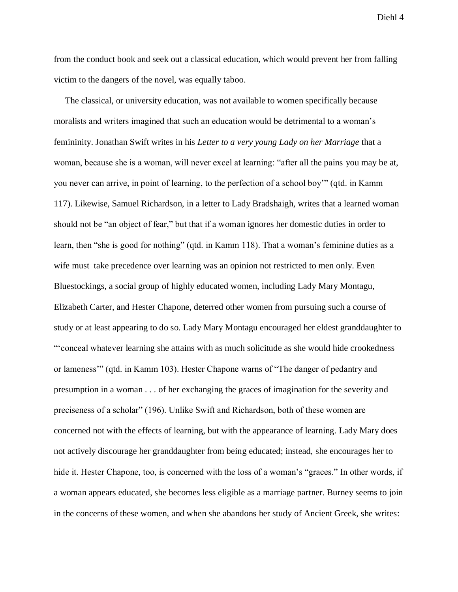from the conduct book and seek out a classical education, which would prevent her from falling victim to the dangers of the novel, was equally taboo.

 The classical, or university education, was not available to women specifically because moralists and writers imagined that such an education would be detrimental to a woman's femininity. Jonathan Swift writes in his *Letter to a very young Lady on her Marriage* that a woman, because she is a woman, will never excel at learning: "after all the pains you may be at, you never can arrive, in point of learning, to the perfection of a school boy'" (qtd. in Kamm 117). Likewise, Samuel Richardson, in a letter to Lady Bradshaigh, writes that a learned woman should not be "an object of fear," but that if a woman ignores her domestic duties in order to learn, then "she is good for nothing" (qtd. in Kamm 118). That a woman's feminine duties as a wife must take precedence over learning was an opinion not restricted to men only. Even Bluestockings, a social group of highly educated women, including Lady Mary Montagu, Elizabeth Carter, and Hester Chapone, deterred other women from pursuing such a course of study or at least appearing to do so. Lady Mary Montagu encouraged her eldest granddaughter to "'conceal whatever learning she attains with as much solicitude as she would hide crookedness or lameness'" (qtd. in Kamm 103). Hester Chapone warns of "The danger of pedantry and presumption in a woman . . . of her exchanging the graces of imagination for the severity and preciseness of a scholar" (196). Unlike Swift and Richardson, both of these women are concerned not with the effects of learning, but with the appearance of learning. Lady Mary does not actively discourage her granddaughter from being educated; instead, she encourages her to hide it. Hester Chapone, too, is concerned with the loss of a woman's "graces." In other words, if a woman appears educated, she becomes less eligible as a marriage partner. Burney seems to join in the concerns of these women, and when she abandons her study of Ancient Greek, she writes: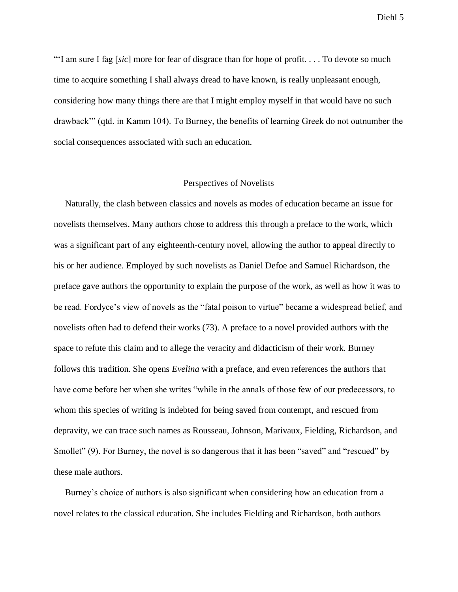"'I am sure I fag [*sic*] more for fear of disgrace than for hope of profit. . . . To devote so much time to acquire something I shall always dread to have known, is really unpleasant enough, considering how many things there are that I might employ myself in that would have no such drawback'" (qtd. in Kamm 104). To Burney, the benefits of learning Greek do not outnumber the social consequences associated with such an education.

## Perspectives of Novelists

 Naturally, the clash between classics and novels as modes of education became an issue for novelists themselves. Many authors chose to address this through a preface to the work, which was a significant part of any eighteenth-century novel, allowing the author to appeal directly to his or her audience. Employed by such novelists as Daniel Defoe and Samuel Richardson, the preface gave authors the opportunity to explain the purpose of the work, as well as how it was to be read. Fordyce's view of novels as the "fatal poison to virtue" became a widespread belief, and novelists often had to defend their works (73). A preface to a novel provided authors with the space to refute this claim and to allege the veracity and didacticism of their work. Burney follows this tradition. She opens *Evelina* with a preface, and even references the authors that have come before her when she writes "while in the annals of those few of our predecessors, to whom this species of writing is indebted for being saved from contempt, and rescued from depravity, we can trace such names as Rousseau, Johnson, Marivaux, Fielding, Richardson, and Smollet" (9). For Burney, the novel is so dangerous that it has been "saved" and "rescued" by these male authors.

 Burney's choice of authors is also significant when considering how an education from a novel relates to the classical education. She includes Fielding and Richardson, both authors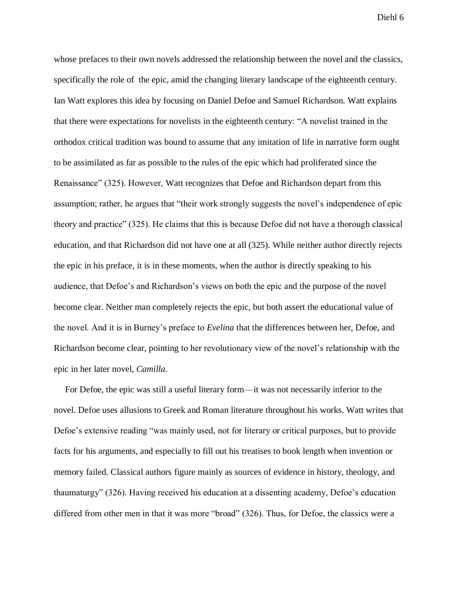whose prefaces to their own novels addressed the relationship between the novel and the classics, specifically the role of the epic, amid the changing literary landscape of the eighteenth century. Ian Watt explores this idea by focusing on Daniel Defoe and Samuel Richardson. Watt explains that there were expectations for novelists in the eighteenth century: "A novelist trained in the orthodox critical tradition was bound to assume that any imitation of life in narrative form ought to be assimilated as far as possible to the rules of the epic which had proliferated since the Renaissance" (325). However, Watt recognizes that Defoe and Richardson depart from this assumption; rather, he argues that "their work strongly suggests the novel's independence of epic theory and practice" (325). He claims that this is because Defoe did not have a thorough classical education, and that Richardson did not have one at all (325). While neither author directly rejects the epic in his preface, it is in these moments, when the author is directly speaking to his audience, that Defoe's and Richardson's views on both the epic and the purpose of the novel become clear. Neither man completely rejects the epic, but both assert the educational value of the novel. And it is in Burney's preface to *Evelina* that the differences between her, Defoe, and Richardson become clear, pointing to her revolutionary view of the novel's relationship with the epic in her later novel, *Camilla*.

 For Defoe, the epic was still a useful literary form—it was not necessarily inferior to the novel. Defoe uses allusions to Greek and Roman literature throughout his works. Watt writes that Defoe's extensive reading "was mainly used, not for literary or critical purposes, but to provide facts for his arguments, and especially to fill out his treatises to book length when invention or memory failed. Classical authors figure mainly as sources of evidence in history, theology, and thaumaturgy" (326). Having received his education at a dissenting academy, Defoe's education differed from other men in that it was more "broad" (326). Thus, for Defoe, the classics were a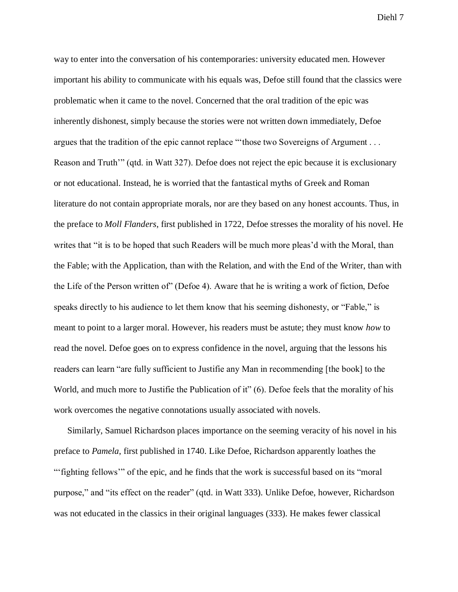way to enter into the conversation of his contemporaries: university educated men. However important his ability to communicate with his equals was, Defoe still found that the classics were problematic when it came to the novel. Concerned that the oral tradition of the epic was inherently dishonest, simply because the stories were not written down immediately, Defoe argues that the tradition of the epic cannot replace "'those two Sovereigns of Argument . . . Reason and Truth'" (qtd. in Watt 327). Defoe does not reject the epic because it is exclusionary or not educational. Instead, he is worried that the fantastical myths of Greek and Roman literature do not contain appropriate morals, nor are they based on any honest accounts. Thus, in the preface to *Moll Flanders*, first published in 1722, Defoe stresses the morality of his novel. He writes that "it is to be hoped that such Readers will be much more pleas'd with the Moral, than the Fable; with the Application, than with the Relation, and with the End of the Writer, than with the Life of the Person written of" (Defoe 4). Aware that he is writing a work of fiction, Defoe speaks directly to his audience to let them know that his seeming dishonesty, or "Fable," is meant to point to a larger moral. However, his readers must be astute; they must know *how* to read the novel. Defoe goes on to express confidence in the novel, arguing that the lessons his readers can learn "are fully sufficient to Justifie any Man in recommending [the book] to the World, and much more to Justifie the Publication of it" (6). Defoe feels that the morality of his work overcomes the negative connotations usually associated with novels.

 Similarly, Samuel Richardson places importance on the seeming veracity of his novel in his preface to *Pamela*, first published in 1740. Like Defoe, Richardson apparently loathes the "'fighting fellows'" of the epic, and he finds that the work is successful based on its "moral purpose," and "its effect on the reader" (qtd. in Watt 333). Unlike Defoe, however, Richardson was not educated in the classics in their original languages (333). He makes fewer classical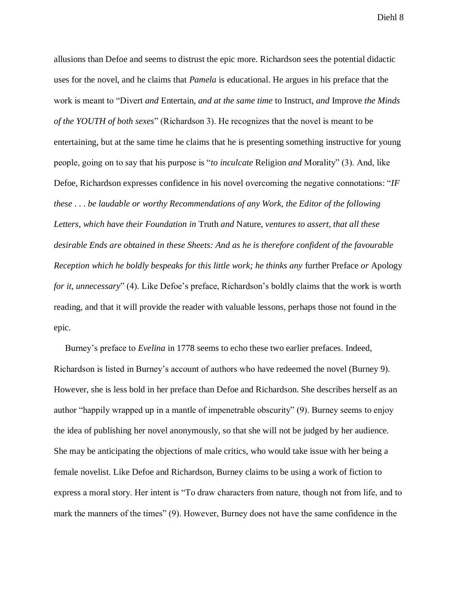allusions than Defoe and seems to distrust the epic more. Richardson sees the potential didactic uses for the novel, and he claims that *Pamela* is educational. He argues in his preface that the work is meant to "Divert *and* Entertain, *and at the same time* to Instruct, *and* Improve *the Minds of the YOUTH of both sexes*" (Richardson 3). He recognizes that the novel is meant to be entertaining, but at the same time he claims that he is presenting something instructive for young people, going on to say that his purpose is "*to inculcate* Religion *and* Morality" (3). And, like Defoe, Richardson expresses confidence in his novel overcoming the negative connotations: "*IF these* . . . *be laudable or worthy Recommendations of any Work, the Editor of the following Letters, which have their Foundation in* Truth *and* Nature, *ventures to assert, that all these desirable Ends are obtained in these Sheets: And as he is therefore confident of the favourable Reception which he boldly bespeaks for this little work; he thinks any* further Preface *or* Apology *for it, unnecessary*" (4). Like Defoe's preface, Richardson's boldly claims that the work is worth reading, and that it will provide the reader with valuable lessons, perhaps those not found in the epic.

 Burney's preface to *Evelina* in 1778 seems to echo these two earlier prefaces. Indeed, Richardson is listed in Burney's account of authors who have redeemed the novel (Burney 9). However, she is less bold in her preface than Defoe and Richardson. She describes herself as an author "happily wrapped up in a mantle of impenetrable obscurity" (9). Burney seems to enjoy the idea of publishing her novel anonymously, so that she will not be judged by her audience. She may be anticipating the objections of male critics, who would take issue with her being a female novelist. Like Defoe and Richardson, Burney claims to be using a work of fiction to express a moral story. Her intent is "To draw characters from nature, though not from life, and to mark the manners of the times" (9). However, Burney does not have the same confidence in the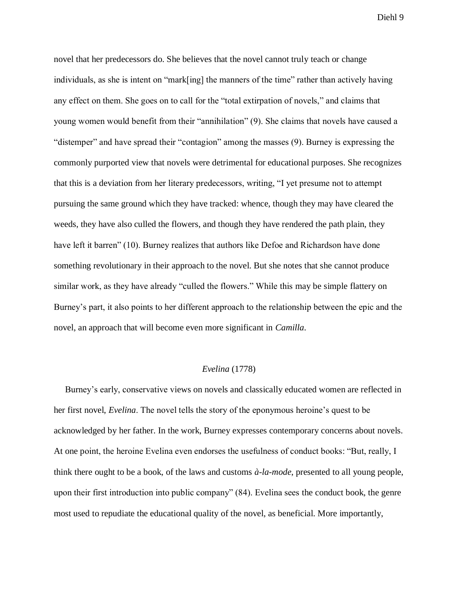novel that her predecessors do. She believes that the novel cannot truly teach or change individuals, as she is intent on "mark[ing] the manners of the time" rather than actively having any effect on them. She goes on to call for the "total extirpation of novels," and claims that young women would benefit from their "annihilation" (9). She claims that novels have caused a "distemper" and have spread their "contagion" among the masses (9). Burney is expressing the commonly purported view that novels were detrimental for educational purposes. She recognizes that this is a deviation from her literary predecessors, writing, "I yet presume not to attempt pursuing the same ground which they have tracked: whence, though they may have cleared the weeds, they have also culled the flowers, and though they have rendered the path plain, they have left it barren" (10). Burney realizes that authors like Defoe and Richardson have done something revolutionary in their approach to the novel. But she notes that she cannot produce similar work, as they have already "culled the flowers." While this may be simple flattery on Burney's part, it also points to her different approach to the relationship between the epic and the novel, an approach that will become even more significant in *Camilla*.

#### *Evelina* (1778)

 Burney's early, conservative views on novels and classically educated women are reflected in her first novel, *Evelina*. The novel tells the story of the eponymous heroine's quest to be acknowledged by her father. In the work, Burney expresses contemporary concerns about novels. At one point, the heroine Evelina even endorses the usefulness of conduct books: "But, really, I think there ought to be a book, of the laws and customs *à-la-mode*, presented to all young people, upon their first introduction into public company" (84). Evelina sees the conduct book, the genre most used to repudiate the educational quality of the novel, as beneficial. More importantly,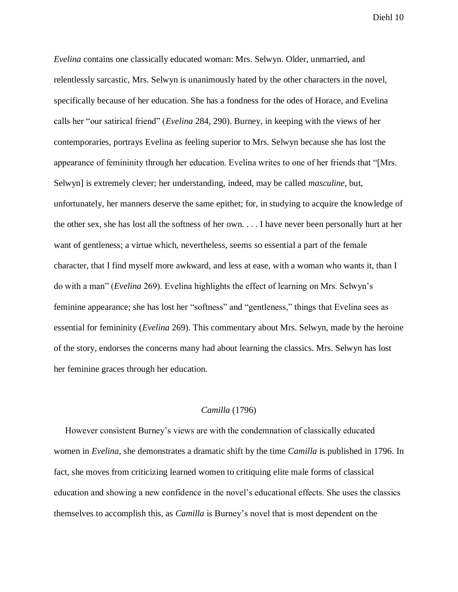*Evelina* contains one classically educated woman: Mrs. Selwyn. Older, unmarried, and relentlessly sarcastic, Mrs. Selwyn is unanimously hated by the other characters in the novel, specifically because of her education. She has a fondness for the odes of Horace, and Evelina calls her "our satirical friend" (*Evelina* 284, 290). Burney, in keeping with the views of her contemporaries, portrays Evelina as feeling superior to Mrs. Selwyn because she has lost the appearance of femininity through her education. Evelina writes to one of her friends that "[Mrs. Selwyn] is extremely clever; her understanding, indeed, may be called *masculine*, but, unfortunately, her manners deserve the same epithet; for, in studying to acquire the knowledge of the other sex, she has lost all the softness of her own. . . . I have never been personally hurt at her want of gentleness; a virtue which, nevertheless, seems so essential a part of the female character, that I find myself more awkward, and less at ease, with a woman who wants it, than I do with a man" (*Evelina* 269). Evelina highlights the effect of learning on Mrs. Selwyn's feminine appearance; she has lost her "softness" and "gentleness," things that Evelina sees as essential for femininity (*Evelina* 269). This commentary about Mrs. Selwyn, made by the heroine of the story, endorses the concerns many had about learning the classics. Mrs. Selwyn has lost her feminine graces through her education.

# *Camilla* (1796)

 However consistent Burney's views are with the condemnation of classically educated women in *Evelina*, she demonstrates a dramatic shift by the time *Camilla* is published in 1796. In fact, she moves from criticizing learned women to critiquing elite male forms of classical education and showing a new confidence in the novel's educational effects. She uses the classics themselves to accomplish this, as *Camilla* is Burney's novel that is most dependent on the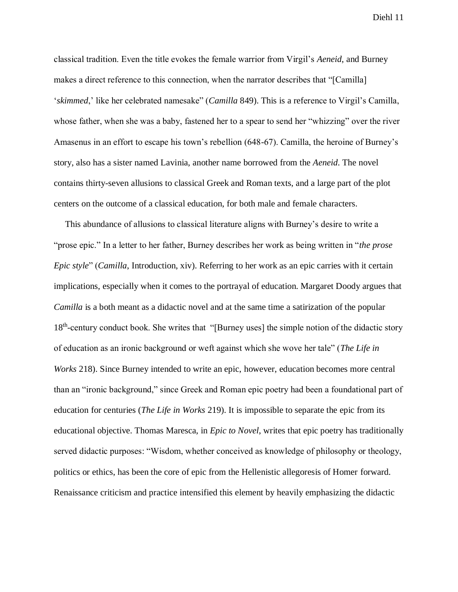classical tradition. Even the title evokes the female warrior from Virgil's *Aeneid*, and Burney makes a direct reference to this connection, when the narrator describes that "[Camilla] '*skimmed*,' like her celebrated namesake" (*Camilla* 849). This is a reference to Virgil's Camilla, whose father, when she was a baby, fastened her to a spear to send her "whizzing" over the river Amasenus in an effort to escape his town's rebellion (648-67). Camilla, the heroine of Burney's story, also has a sister named Lavinia, another name borrowed from the *Aeneid*. The novel contains thirty-seven allusions to classical Greek and Roman texts, and a large part of the plot centers on the outcome of a classical education, for both male and female characters.

 This abundance of allusions to classical literature aligns with Burney's desire to write a "prose epic." In a letter to her father, Burney describes her work as being written in "*the prose Epic style*" (*Camilla*, Introduction, xiv). Referring to her work as an epic carries with it certain implications, especially when it comes to the portrayal of education. Margaret Doody argues that *Camilla* is a both meant as a didactic novel and at the same time a satirization of the popular 18<sup>th</sup>-century conduct book. She writes that "[Burney uses] the simple notion of the didactic story of education as an ironic background or weft against which she wove her tale" (*The Life in Works* 218). Since Burney intended to write an epic, however, education becomes more central than an "ironic background," since Greek and Roman epic poetry had been a foundational part of education for centuries (*The Life in Works* 219). It is impossible to separate the epic from its educational objective. Thomas Maresca, in *Epic to Novel*, writes that epic poetry has traditionally served didactic purposes: "Wisdom, whether conceived as knowledge of philosophy or theology, politics or ethics, has been the core of epic from the Hellenistic allegoresis of Homer forward. Renaissance criticism and practice intensified this element by heavily emphasizing the didactic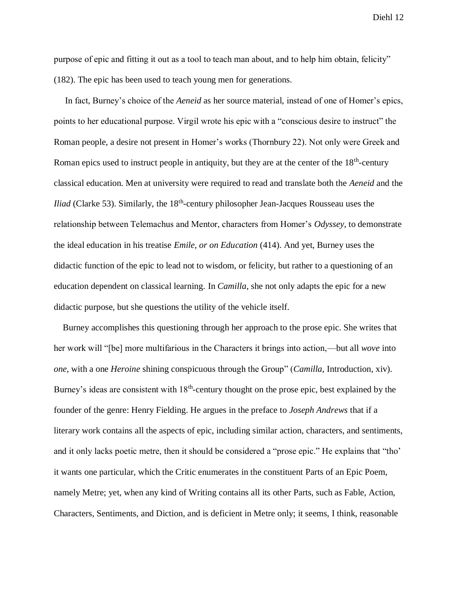purpose of epic and fitting it out as a tool to teach man about, and to help him obtain, felicity" (182). The epic has been used to teach young men for generations.

 In fact, Burney's choice of the *Aeneid* as her source material, instead of one of Homer's epics, points to her educational purpose. Virgil wrote his epic with a "conscious desire to instruct" the Roman people, a desire not present in Homer's works (Thornbury 22). Not only were Greek and Roman epics used to instruct people in antiquity, but they are at the center of the 18<sup>th</sup>-century classical education. Men at university were required to read and translate both the *Aeneid* and the *Iliad* (Clarke 53). Similarly, the 18<sup>th</sup>-century philosopher Jean-Jacques Rousseau uses the relationship between Telemachus and Mentor, characters from Homer's *Odyssey*, to demonstrate the ideal education in his treatise *Emile, or on Education* (414). And yet, Burney uses the didactic function of the epic to lead not to wisdom, or felicity, but rather to a questioning of an education dependent on classical learning. In *Camilla*, she not only adapts the epic for a new didactic purpose, but she questions the utility of the vehicle itself.

 Burney accomplishes this questioning through her approach to the prose epic. She writes that her work will "[be] more multifarious in the Characters it brings into action,—but all *wove* into *one*, with a one *Heroine* shining conspicuous through the Group" (*Camilla*, Introduction, xiv). Burney's ideas are consistent with 18<sup>th</sup>-century thought on the prose epic, best explained by the founder of the genre: Henry Fielding. He argues in the preface to *Joseph Andrews* that if a literary work contains all the aspects of epic, including similar action, characters, and sentiments, and it only lacks poetic metre, then it should be considered a "prose epic." He explains that "tho' it wants one particular, which the Critic enumerates in the constituent Parts of an Epic Poem, namely Metre; yet, when any kind of Writing contains all its other Parts, such as Fable, Action, Characters, Sentiments, and Diction, and is deficient in Metre only; it seems, I think, reasonable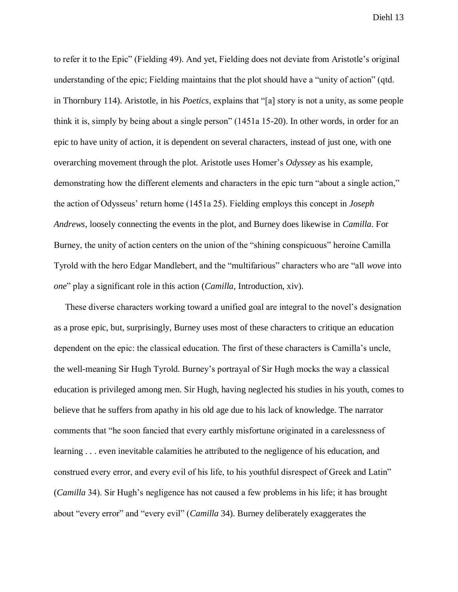to refer it to the Epic" (Fielding 49). And yet, Fielding does not deviate from Aristotle's original understanding of the epic; Fielding maintains that the plot should have a "unity of action" (qtd. in Thornbury 114). Aristotle, in his *Poetics*, explains that "[a] story is not a unity, as some people think it is, simply by being about a single person" (1451a 15-20). In other words, in order for an epic to have unity of action, it is dependent on several characters, instead of just one, with one overarching movement through the plot. Aristotle uses Homer's *Odyssey* as his example, demonstrating how the different elements and characters in the epic turn "about a single action," the action of Odysseus' return home (1451a 25). Fielding employs this concept in *Joseph Andrews*, loosely connecting the events in the plot, and Burney does likewise in *Camilla*. For Burney, the unity of action centers on the union of the "shining conspicuous" heroine Camilla Tyrold with the hero Edgar Mandlebert, and the "multifarious" characters who are "all *wove* into *one*" play a significant role in this action (*Camilla*, Introduction, xiv).

 These diverse characters working toward a unified goal are integral to the novel's designation as a prose epic, but, surprisingly, Burney uses most of these characters to critique an education dependent on the epic: the classical education. The first of these characters is Camilla's uncle, the well-meaning Sir Hugh Tyrold. Burney's portrayal of Sir Hugh mocks the way a classical education is privileged among men. Sir Hugh, having neglected his studies in his youth, comes to believe that he suffers from apathy in his old age due to his lack of knowledge. The narrator comments that "he soon fancied that every earthly misfortune originated in a carelessness of learning . . . even inevitable calamities he attributed to the negligence of his education, and construed every error, and every evil of his life, to his youthful disrespect of Greek and Latin" (*Camilla* 34). Sir Hugh's negligence has not caused a few problems in his life; it has brought about "every error" and "every evil" (*Camilla* 34). Burney deliberately exaggerates the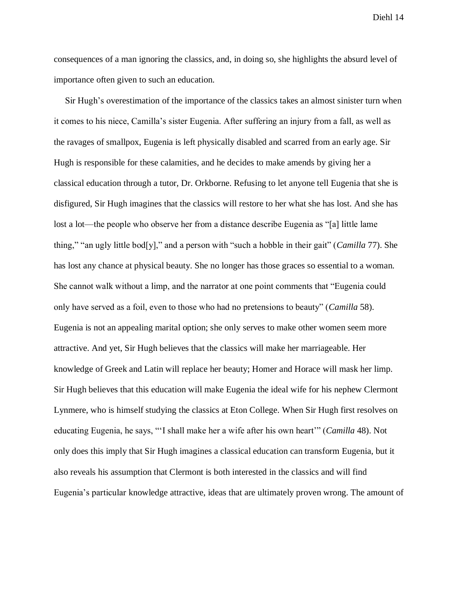consequences of a man ignoring the classics, and, in doing so, she highlights the absurd level of importance often given to such an education.

 Sir Hugh's overestimation of the importance of the classics takes an almost sinister turn when it comes to his niece, Camilla's sister Eugenia. After suffering an injury from a fall, as well as the ravages of smallpox, Eugenia is left physically disabled and scarred from an early age. Sir Hugh is responsible for these calamities, and he decides to make amends by giving her a classical education through a tutor, Dr. Orkborne. Refusing to let anyone tell Eugenia that she is disfigured, Sir Hugh imagines that the classics will restore to her what she has lost. And she has lost a lot—the people who observe her from a distance describe Eugenia as "[a] little lame thing," "an ugly little bod[y]," and a person with "such a hobble in their gait" (*Camilla* 77). She has lost any chance at physical beauty. She no longer has those graces so essential to a woman. She cannot walk without a limp, and the narrator at one point comments that "Eugenia could only have served as a foil, even to those who had no pretensions to beauty" (*Camilla* 58). Eugenia is not an appealing marital option; she only serves to make other women seem more attractive. And yet, Sir Hugh believes that the classics will make her marriageable. Her knowledge of Greek and Latin will replace her beauty; Homer and Horace will mask her limp. Sir Hugh believes that this education will make Eugenia the ideal wife for his nephew Clermont Lynmere, who is himself studying the classics at Eton College. When Sir Hugh first resolves on educating Eugenia, he says, "'I shall make her a wife after his own heart'" (*Camilla* 48). Not only does this imply that Sir Hugh imagines a classical education can transform Eugenia, but it also reveals his assumption that Clermont is both interested in the classics and will find Eugenia's particular knowledge attractive, ideas that are ultimately proven wrong. The amount of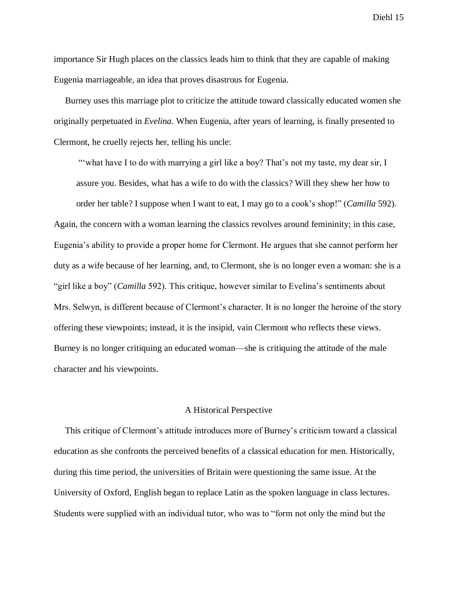importance Sir Hugh places on the classics leads him to think that they are capable of making Eugenia marriageable, an idea that proves disastrous for Eugenia.

Burney uses this marriage plot to criticize the attitude toward classically educated women she originally perpetuated in *Evelina*. When Eugenia, after years of learning, is finally presented to Clermont, he cruelly rejects her, telling his uncle:

"what have I to do with marrying a girl like a boy? That's not my taste, my dear sir, I assure you. Besides, what has a wife to do with the classics? Will they shew her how to order her table? I suppose when I want to eat, I may go to a cook's shop!" (*Camilla* 592).

Again, the concern with a woman learning the classics revolves around femininity; in this case, Eugenia's ability to provide a proper home for Clermont. He argues that she cannot perform her duty as a wife because of her learning, and, to Clermont, she is no longer even a woman: she is a "girl like a boy" (*Camilla* 592). This critique, however similar to Evelina's sentiments about Mrs. Selwyn, is different because of Clermont's character. It is no longer the heroine of the story offering these viewpoints; instead, it is the insipid, vain Clermont who reflects these views. Burney is no longer critiquing an educated woman—she is critiquing the attitude of the male character and his viewpoints.

## A Historical Perspective

 This critique of Clermont's attitude introduces more of Burney's criticism toward a classical education as she confronts the perceived benefits of a classical education for men. Historically, during this time period, the universities of Britain were questioning the same issue. At the University of Oxford, English began to replace Latin as the spoken language in class lectures. Students were supplied with an individual tutor, who was to "form not only the mind but the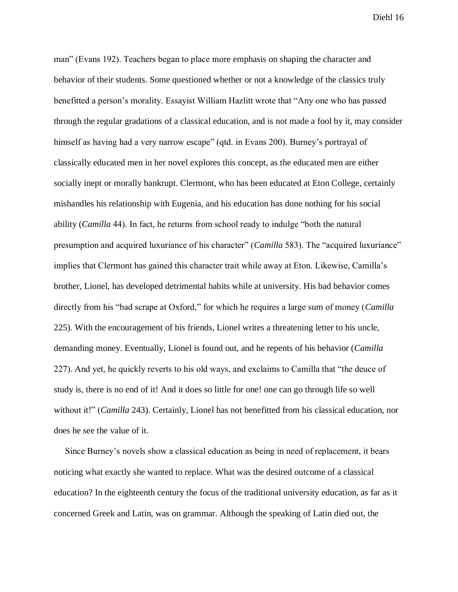man" (Evans 192). Teachers began to place more emphasis on shaping the character and behavior of their students. Some questioned whether or not a knowledge of the classics truly benefitted a person's morality. Essayist William Hazlitt wrote that "Any one who has passed through the regular gradations of a classical education, and is not made a fool by it, may consider himself as having had a very narrow escape" (qtd. in Evans 200). Burney's portrayal of classically educated men in her novel explores this concept, as the educated men are either socially inept or morally bankrupt. Clermont, who has been educated at Eton College, certainly mishandles his relationship with Eugenia, and his education has done nothing for his social ability (*Camilla* 44). In fact, he returns from school ready to indulge "both the natural presumption and acquired luxuriance of his character" (*Camilla* 583). The "acquired luxuriance" implies that Clermont has gained this character trait while away at Eton. Likewise, Camilla's brother, Lionel, has developed detrimental habits while at university. His bad behavior comes directly from his "bad scrape at Oxford," for which he requires a large sum of money (*Camilla* 225). With the encouragement of his friends, Lionel writes a threatening letter to his uncle, demanding money. Eventually, Lionel is found out, and he repents of his behavior (*Camilla*  227). And yet, he quickly reverts to his old ways, and exclaims to Camilla that "the deuce of study is, there is no end of it! And it does so little for one! one can go through life so well without it!" (*Camilla 243*). Certainly, Lionel has not benefitted from his classical education, nor does he see the value of it.

 Since Burney's novels show a classical education as being in need of replacement, it bears noticing what exactly she wanted to replace. What was the desired outcome of a classical education? In the eighteenth century the focus of the traditional university education, as far as it concerned Greek and Latin, was on grammar. Although the speaking of Latin died out, the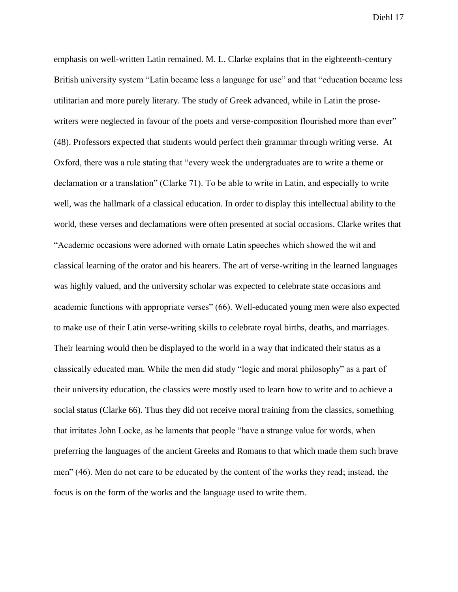emphasis on well-written Latin remained. M. L. Clarke explains that in the eighteenth-century British university system "Latin became less a language for use" and that "education became less utilitarian and more purely literary. The study of Greek advanced, while in Latin the prosewriters were neglected in favour of the poets and verse-composition flourished more than ever" (48). Professors expected that students would perfect their grammar through writing verse. At Oxford, there was a rule stating that "every week the undergraduates are to write a theme or declamation or a translation" (Clarke 71). To be able to write in Latin, and especially to write well, was the hallmark of a classical education. In order to display this intellectual ability to the world, these verses and declamations were often presented at social occasions. Clarke writes that "Academic occasions were adorned with ornate Latin speeches which showed the wit and classical learning of the orator and his hearers. The art of verse-writing in the learned languages was highly valued, and the university scholar was expected to celebrate state occasions and academic functions with appropriate verses" (66). Well-educated young men were also expected to make use of their Latin verse-writing skills to celebrate royal births, deaths, and marriages. Their learning would then be displayed to the world in a way that indicated their status as a classically educated man. While the men did study "logic and moral philosophy" as a part of their university education, the classics were mostly used to learn how to write and to achieve a social status (Clarke 66). Thus they did not receive moral training from the classics, something that irritates John Locke, as he laments that people "have a strange value for words, when preferring the languages of the ancient Greeks and Romans to that which made them such brave men" (46). Men do not care to be educated by the content of the works they read; instead, the focus is on the form of the works and the language used to write them.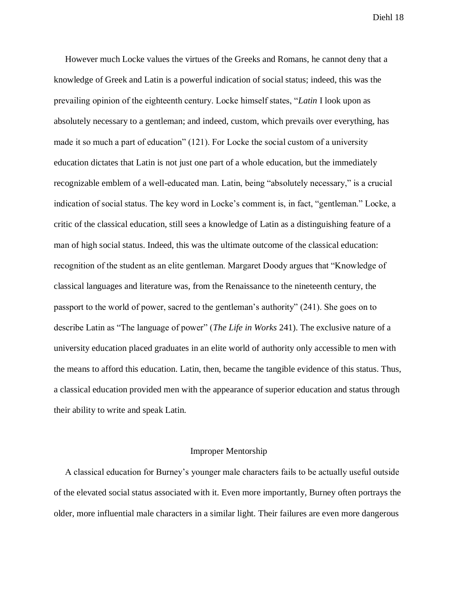However much Locke values the virtues of the Greeks and Romans, he cannot deny that a knowledge of Greek and Latin is a powerful indication of social status; indeed, this was the prevailing opinion of the eighteenth century. Locke himself states, "*Latin* I look upon as absolutely necessary to a gentleman; and indeed, custom, which prevails over everything, has made it so much a part of education" (121). For Locke the social custom of a university education dictates that Latin is not just one part of a whole education, but the immediately recognizable emblem of a well-educated man. Latin, being "absolutely necessary," is a crucial indication of social status. The key word in Locke's comment is, in fact, "gentleman." Locke, a critic of the classical education, still sees a knowledge of Latin as a distinguishing feature of a man of high social status. Indeed, this was the ultimate outcome of the classical education: recognition of the student as an elite gentleman. Margaret Doody argues that "Knowledge of classical languages and literature was, from the Renaissance to the nineteenth century, the passport to the world of power, sacred to the gentleman's authority" (241). She goes on to describe Latin as "The language of power" (*The Life in Works* 241). The exclusive nature of a university education placed graduates in an elite world of authority only accessible to men with the means to afford this education. Latin, then, became the tangible evidence of this status. Thus, a classical education provided men with the appearance of superior education and status through their ability to write and speak Latin.

## Improper Mentorship

 A classical education for Burney's younger male characters fails to be actually useful outside of the elevated social status associated with it. Even more importantly, Burney often portrays the older, more influential male characters in a similar light. Their failures are even more dangerous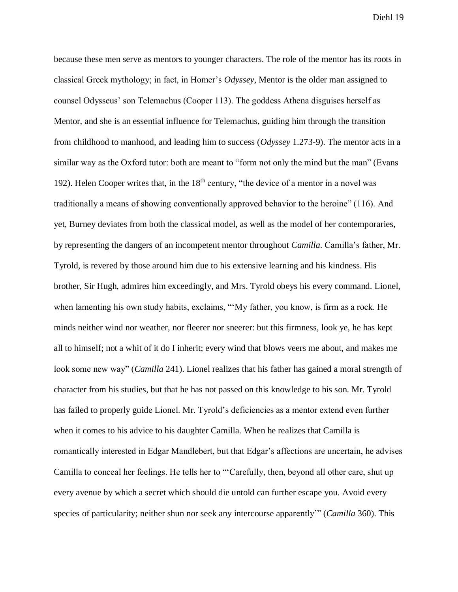because these men serve as mentors to younger characters. The role of the mentor has its roots in classical Greek mythology; in fact, in Homer's *Odyssey*, Mentor is the older man assigned to counsel Odysseus' son Telemachus (Cooper 113). The goddess Athena disguises herself as Mentor, and she is an essential influence for Telemachus, guiding him through the transition from childhood to manhood, and leading him to success (*Odyssey* 1.273-9). The mentor acts in a similar way as the Oxford tutor: both are meant to "form not only the mind but the man" (Evans 192). Helen Cooper writes that, in the 18<sup>th</sup> century, "the device of a mentor in a novel was traditionally a means of showing conventionally approved behavior to the heroine" (116). And yet, Burney deviates from both the classical model, as well as the model of her contemporaries, by representing the dangers of an incompetent mentor throughout *Camilla*. Camilla's father, Mr. Tyrold, is revered by those around him due to his extensive learning and his kindness. His brother, Sir Hugh, admires him exceedingly, and Mrs. Tyrold obeys his every command. Lionel, when lamenting his own study habits, exclaims, "'My father, you know, is firm as a rock. He minds neither wind nor weather, nor fleerer nor sneerer: but this firmness, look ye, he has kept all to himself; not a whit of it do I inherit; every wind that blows veers me about, and makes me look some new way" (*Camilla* 241). Lionel realizes that his father has gained a moral strength of character from his studies, but that he has not passed on this knowledge to his son. Mr. Tyrold has failed to properly guide Lionel. Mr. Tyrold's deficiencies as a mentor extend even further when it comes to his advice to his daughter Camilla. When he realizes that Camilla is romantically interested in Edgar Mandlebert, but that Edgar's affections are uncertain, he advises Camilla to conceal her feelings. He tells her to "'Carefully, then, beyond all other care, shut up every avenue by which a secret which should die untold can further escape you. Avoid every species of particularity; neither shun nor seek any intercourse apparently'" (*Camilla* 360). This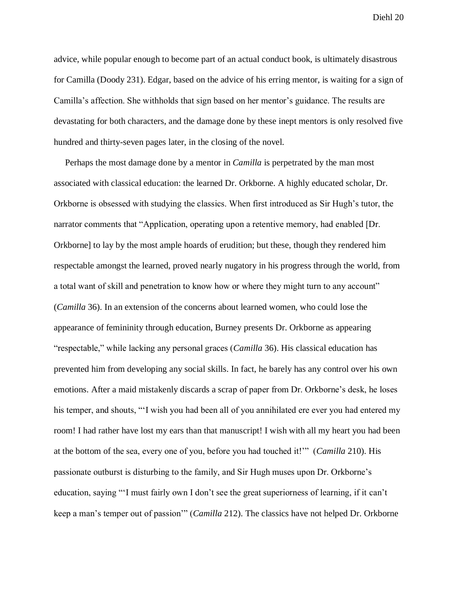advice, while popular enough to become part of an actual conduct book, is ultimately disastrous for Camilla (Doody 231). Edgar, based on the advice of his erring mentor, is waiting for a sign of Camilla's affection. She withholds that sign based on her mentor's guidance. The results are devastating for both characters, and the damage done by these inept mentors is only resolved five hundred and thirty-seven pages later, in the closing of the novel.

 Perhaps the most damage done by a mentor in *Camilla* is perpetrated by the man most associated with classical education: the learned Dr. Orkborne. A highly educated scholar, Dr. Orkborne is obsessed with studying the classics. When first introduced as Sir Hugh's tutor, the narrator comments that "Application, operating upon a retentive memory, had enabled [Dr. Orkborne] to lay by the most ample hoards of erudition; but these, though they rendered him respectable amongst the learned, proved nearly nugatory in his progress through the world, from a total want of skill and penetration to know how or where they might turn to any account" (*Camilla* 36). In an extension of the concerns about learned women, who could lose the appearance of femininity through education, Burney presents Dr. Orkborne as appearing "respectable," while lacking any personal graces (*Camilla* 36). His classical education has prevented him from developing any social skills. In fact, he barely has any control over his own emotions. After a maid mistakenly discards a scrap of paper from Dr. Orkborne's desk, he loses his temper, and shouts, "'I wish you had been all of you annihilated ere ever you had entered my room! I had rather have lost my ears than that manuscript! I wish with all my heart you had been at the bottom of the sea, every one of you, before you had touched it!'" (*Camilla* 210). His passionate outburst is disturbing to the family, and Sir Hugh muses upon Dr. Orkborne's education, saying "'I must fairly own I don't see the great superiorness of learning, if it can't keep a man's temper out of passion'" (*Camilla* 212). The classics have not helped Dr. Orkborne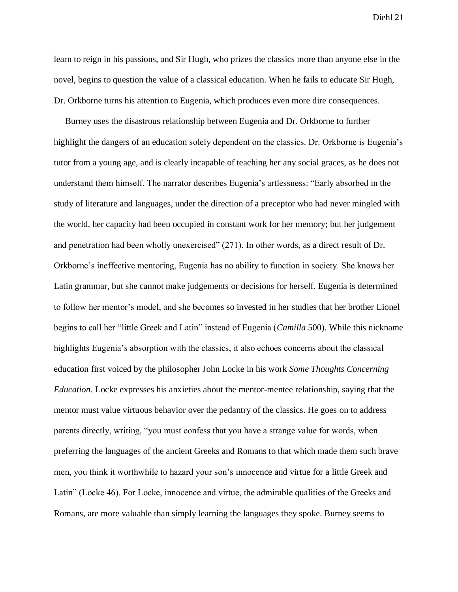learn to reign in his passions, and Sir Hugh, who prizes the classics more than anyone else in the novel, begins to question the value of a classical education. When he fails to educate Sir Hugh, Dr. Orkborne turns his attention to Eugenia, which produces even more dire consequences.

 Burney uses the disastrous relationship between Eugenia and Dr. Orkborne to further highlight the dangers of an education solely dependent on the classics. Dr. Orkborne is Eugenia's tutor from a young age, and is clearly incapable of teaching her any social graces, as he does not understand them himself. The narrator describes Eugenia's artlessness: "Early absorbed in the study of literature and languages, under the direction of a preceptor who had never mingled with the world, her capacity had been occupied in constant work for her memory; but her judgement and penetration had been wholly unexercised" (271). In other words, as a direct result of Dr. Orkborne's ineffective mentoring, Eugenia has no ability to function in society. She knows her Latin grammar, but she cannot make judgements or decisions for herself. Eugenia is determined to follow her mentor's model, and she becomes so invested in her studies that her brother Lionel begins to call her "little Greek and Latin" instead of Eugenia (*Camilla* 500). While this nickname highlights Eugenia's absorption with the classics, it also echoes concerns about the classical education first voiced by the philosopher John Locke in his work *Some Thoughts Concerning Education*. Locke expresses his anxieties about the mentor-mentee relationship, saying that the mentor must value virtuous behavior over the pedantry of the classics. He goes on to address parents directly, writing, "you must confess that you have a strange value for words, when preferring the languages of the ancient Greeks and Romans to that which made them such brave men, you think it worthwhile to hazard your son's innocence and virtue for a little Greek and Latin" (Locke 46). For Locke, innocence and virtue, the admirable qualities of the Greeks and Romans, are more valuable than simply learning the languages they spoke. Burney seems to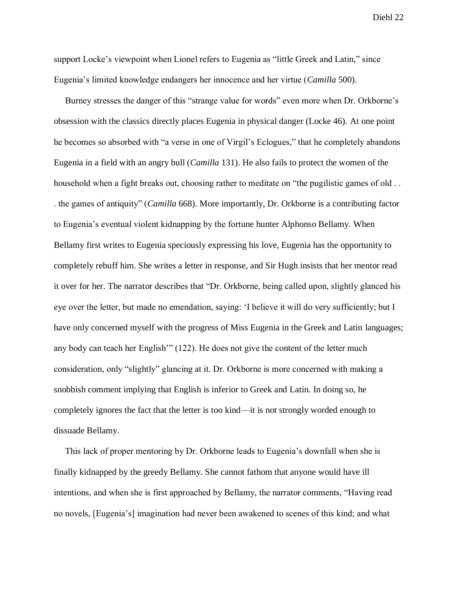support Locke's viewpoint when Lionel refers to Eugenia as "little Greek and Latin," since Eugenia's limited knowledge endangers her innocence and her virtue (*Camilla* 500).

 Burney stresses the danger of this "strange value for words" even more when Dr. Orkborne's obsession with the classics directly places Eugenia in physical danger (Locke 46). At one point he becomes so absorbed with "a verse in one of Virgil's Eclogues," that he completely abandons Eugenia in a field with an angry bull (*Camilla* 131). He also fails to protect the women of the household when a fight breaks out, choosing rather to meditate on "the pugilistic games of old ... . the games of antiquity" (*Camilla* 668). More importantly, Dr. Orkborne is a contributing factor to Eugenia's eventual violent kidnapping by the fortune hunter Alphonso Bellamy. When Bellamy first writes to Eugenia speciously expressing his love, Eugenia has the opportunity to completely rebuff him. She writes a letter in response, and Sir Hugh insists that her mentor read it over for her. The narrator describes that "Dr. Orkborne, being called upon, slightly glanced his eye over the letter, but made no emendation, saying: 'I believe it will do very sufficiently; but I have only concerned myself with the progress of Miss Eugenia in the Greek and Latin languages; any body can teach her English'" (122). He does not give the content of the letter much consideration, only "slightly" glancing at it. Dr. Orkborne is more concerned with making a snobbish comment implying that English is inferior to Greek and Latin. In doing so, he completely ignores the fact that the letter is too kind—it is not strongly worded enough to dissuade Bellamy.

 This lack of proper mentoring by Dr. Orkborne leads to Eugenia's downfall when she is finally kidnapped by the greedy Bellamy. She cannot fathom that anyone would have ill intentions, and when she is first approached by Bellamy, the narrator comments, "Having read no novels, [Eugenia's] imagination had never been awakened to scenes of this kind; and what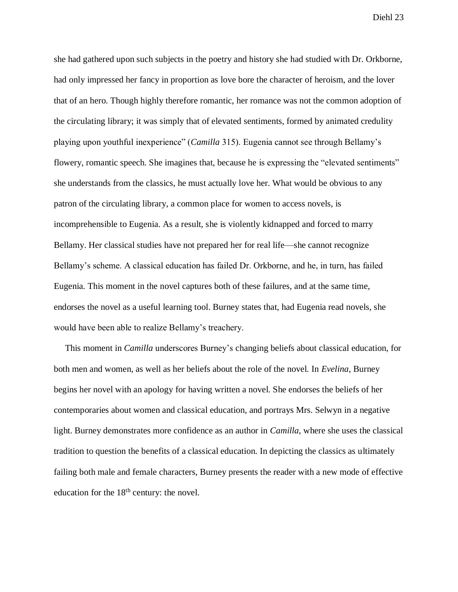she had gathered upon such subjects in the poetry and history she had studied with Dr. Orkborne, had only impressed her fancy in proportion as love bore the character of heroism, and the lover that of an hero. Though highly therefore romantic, her romance was not the common adoption of the circulating library; it was simply that of elevated sentiments, formed by animated credulity playing upon youthful inexperience" (*Camilla* 315). Eugenia cannot see through Bellamy's flowery, romantic speech. She imagines that, because he is expressing the "elevated sentiments" she understands from the classics, he must actually love her. What would be obvious to any patron of the circulating library, a common place for women to access novels, is incomprehensible to Eugenia. As a result, she is violently kidnapped and forced to marry Bellamy. Her classical studies have not prepared her for real life—she cannot recognize Bellamy's scheme. A classical education has failed Dr. Orkborne, and he, in turn, has failed Eugenia. This moment in the novel captures both of these failures, and at the same time, endorses the novel as a useful learning tool. Burney states that, had Eugenia read novels, she would have been able to realize Bellamy's treachery.

 This moment in *Camilla* underscores Burney's changing beliefs about classical education, for both men and women, as well as her beliefs about the role of the novel. In *Evelina*, Burney begins her novel with an apology for having written a novel. She endorses the beliefs of her contemporaries about women and classical education, and portrays Mrs. Selwyn in a negative light. Burney demonstrates more confidence as an author in *Camilla*, where she uses the classical tradition to question the benefits of a classical education. In depicting the classics as ultimately failing both male and female characters, Burney presents the reader with a new mode of effective education for the  $18<sup>th</sup>$  century: the novel.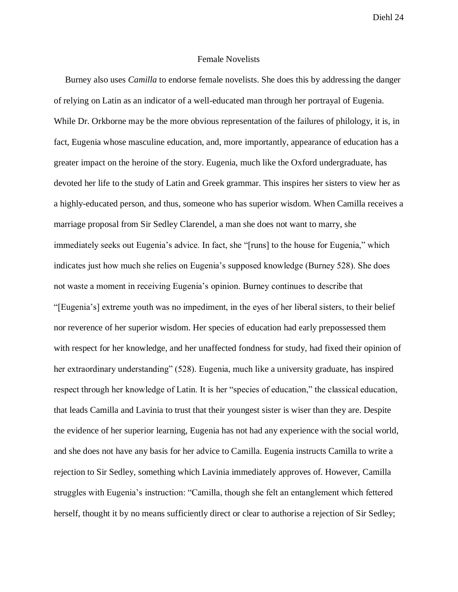## Female Novelists

 Burney also uses *Camilla* to endorse female novelists. She does this by addressing the danger of relying on Latin as an indicator of a well-educated man through her portrayal of Eugenia. While Dr. Orkborne may be the more obvious representation of the failures of philology, it is, in fact, Eugenia whose masculine education, and, more importantly, appearance of education has a greater impact on the heroine of the story. Eugenia, much like the Oxford undergraduate, has devoted her life to the study of Latin and Greek grammar. This inspires her sisters to view her as a highly-educated person, and thus, someone who has superior wisdom. When Camilla receives a marriage proposal from Sir Sedley Clarendel, a man she does not want to marry, she immediately seeks out Eugenia's advice. In fact, she "[runs] to the house for Eugenia," which indicates just how much she relies on Eugenia's supposed knowledge (Burney 528). She does not waste a moment in receiving Eugenia's opinion. Burney continues to describe that "[Eugenia's] extreme youth was no impediment, in the eyes of her liberal sisters, to their belief nor reverence of her superior wisdom. Her species of education had early prepossessed them with respect for her knowledge, and her unaffected fondness for study, had fixed their opinion of her extraordinary understanding" (528). Eugenia, much like a university graduate, has inspired respect through her knowledge of Latin. It is her "species of education," the classical education, that leads Camilla and Lavinia to trust that their youngest sister is wiser than they are. Despite the evidence of her superior learning, Eugenia has not had any experience with the social world, and she does not have any basis for her advice to Camilla. Eugenia instructs Camilla to write a rejection to Sir Sedley, something which Lavinia immediately approves of. However, Camilla struggles with Eugenia's instruction: "Camilla, though she felt an entanglement which fettered herself, thought it by no means sufficiently direct or clear to authorise a rejection of Sir Sedley;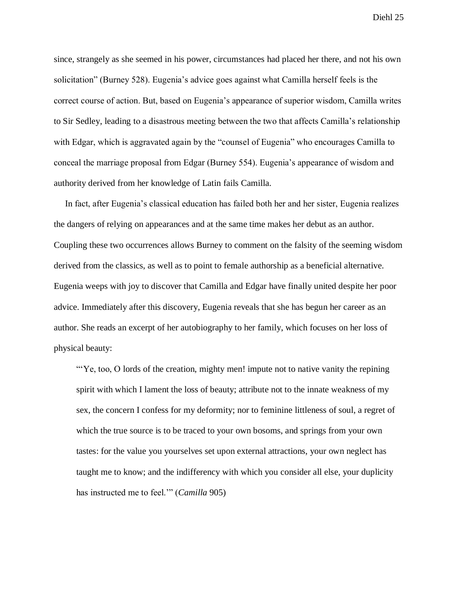since, strangely as she seemed in his power, circumstances had placed her there, and not his own solicitation" (Burney 528). Eugenia's advice goes against what Camilla herself feels is the correct course of action. But, based on Eugenia's appearance of superior wisdom, Camilla writes to Sir Sedley, leading to a disastrous meeting between the two that affects Camilla's relationship with Edgar, which is aggravated again by the "counsel of Eugenia" who encourages Camilla to conceal the marriage proposal from Edgar (Burney 554). Eugenia's appearance of wisdom and authority derived from her knowledge of Latin fails Camilla.

 In fact, after Eugenia's classical education has failed both her and her sister, Eugenia realizes the dangers of relying on appearances and at the same time makes her debut as an author. Coupling these two occurrences allows Burney to comment on the falsity of the seeming wisdom derived from the classics, as well as to point to female authorship as a beneficial alternative. Eugenia weeps with joy to discover that Camilla and Edgar have finally united despite her poor advice. Immediately after this discovery, Eugenia reveals that she has begun her career as an author. She reads an excerpt of her autobiography to her family, which focuses on her loss of physical beauty:

 "'Ye, too, O lords of the creation, mighty men! impute not to native vanity the repining spirit with which I lament the loss of beauty; attribute not to the innate weakness of my sex, the concern I confess for my deformity; nor to feminine littleness of soul, a regret of which the true source is to be traced to your own bosoms, and springs from your own tastes: for the value you yourselves set upon external attractions, your own neglect has taught me to know; and the indifferency with which you consider all else, your duplicity has instructed me to feel.'" (*Camilla* 905)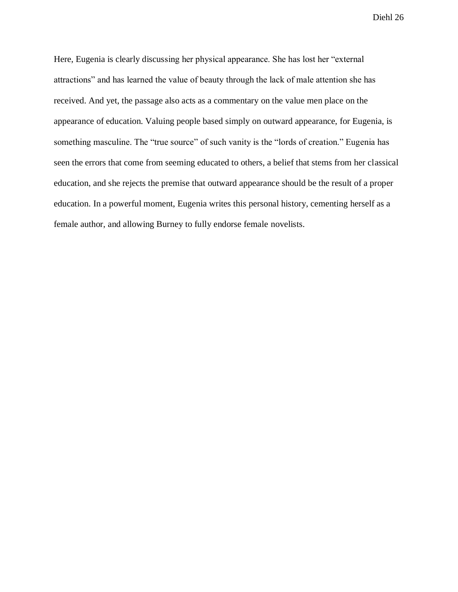Here, Eugenia is clearly discussing her physical appearance. She has lost her "external attractions" and has learned the value of beauty through the lack of male attention she has received. And yet, the passage also acts as a commentary on the value men place on the appearance of education. Valuing people based simply on outward appearance, for Eugenia, is something masculine. The "true source" of such vanity is the "lords of creation." Eugenia has seen the errors that come from seeming educated to others, a belief that stems from her classical education, and she rejects the premise that outward appearance should be the result of a proper education. In a powerful moment, Eugenia writes this personal history, cementing herself as a female author, and allowing Burney to fully endorse female novelists.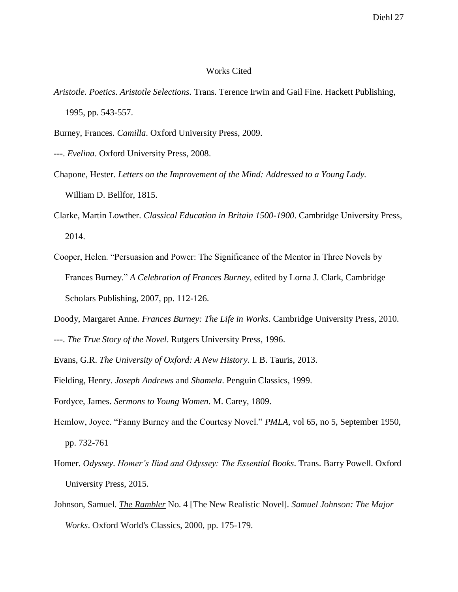# Works Cited

- *Aristotle. Poetics. Aristotle Selections.* Trans. Terence Irwin and Gail Fine. Hackett Publishing, 1995, pp. 543-557.
- Burney, Frances. *Camilla*. Oxford University Press, 2009.
- ---. *Evelina*. Oxford University Press, 2008.
- Chapone, Hester. *Letters on the Improvement of the Mind: Addressed to a Young Lady.* William D. Bellfor, 1815.
- Clarke, Martin Lowther. *Classical Education in Britain 1500-1900*. Cambridge University Press, 2014.
- Cooper, Helen. "Persuasion and Power: The Significance of the Mentor in Three Novels by Frances Burney." *A Celebration of Frances Burney*, edited by Lorna J. Clark, Cambridge Scholars Publishing, 2007, pp. 112-126.
- Doody, Margaret Anne. *Frances Burney: The Life in Works*. Cambridge University Press, 2010.
- ---. *The True Story of the Novel*. Rutgers University Press, 1996.
- Evans, G.R. *The University of Oxford: A New History*. I. B. Tauris, 2013.
- Fielding, Henry. *Joseph Andrews* and *Shamela*. Penguin Classics, 1999.
- Fordyce, James. *Sermons to Young Women*. M. Carey, 1809.
- Hemlow, Joyce. "Fanny Burney and the Courtesy Novel." *PMLA*, vol 65, no 5, September 1950, pp. 732-761
- Homer. *Odyssey*. *Homer's Iliad and Odyssey: The Essential Books*. Trans. Barry Powell. Oxford University Press, 2015.
- Johnson, Samuel. *The Rambler* No. 4 [The New Realistic Novel]. *Samuel Johnson: The Major Works*. Oxford World's Classics, 2000, pp. 175-179.